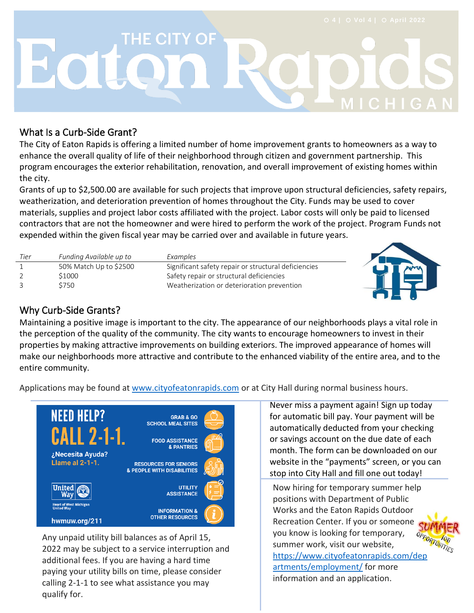# **THE CITY OF** Eatc

#### What Is a Curb-Side Grant?

The City of Eaton Rapids is offering a limited number of home improvement grants to homeowners as a way to enhance the overall quality of life of their neighborhood through citizen and government partnership. This program encourages the exterior rehabilitation, renovation, and overall improvement of existing homes within the city.

Grants of up to \$2,500.00 are available for such projects that improve upon structural deficiencies, safety repairs, weatherization, and deterioration prevention of homes throughout the City. Funds may be used to cover materials, supplies and project labor costs affiliated with the project. Labor costs will only be paid to licensed contractors that are not the homeowner and were hired to perform the work of the project. Program Funds not expended within the given fiscal year may be carried over and available in future years.

| Tier | Funding Available up to | Examples                                             |  |
|------|-------------------------|------------------------------------------------------|--|
|      | 50% Match Up to \$2500  | Significant safety repair or structural deficiencies |  |
|      | S1000                   | Safety repair or structural deficiencies             |  |
|      | <b>3750</b>             | Weatherization or deterioration prevention           |  |

### Why Curb-Side Grants?

Maintaining a positive image is important to the city. The appearance of our neighborho[ods plays](https://www.coffeeaddictedwriter.com/2018/09/guidelines-for-home-improvement-project.html) a v[ital role in](https://creativecommons.org/licenses/by-nc-sa/3.0/)  the perception of the quality of the community. The city wants to encourage homeowners to invest in their properties by making attractive improvements on building exteriors. The improved appearance of homes will make our neighborhoods more attractive and contribute to the enhanced viability of the entire area, and to the entire community.

Applications may be found at [www.cityofeatonrapids.com](http://www.cityofeatonrapids.com/) or at City Hall during normal business hours.



Any unpaid utility bill balances as of April 15, 2022 may be subject to a service interruption and additional fees. If you are having a hard time paying your utility bills on time, please consider calling 2-1-1 to see what assistance you may qualify for.

Never miss a payment again! Sign up today for automatic bill pay. Your payment will be automatically deducted from your checking or savings account on the due date of each month. The form can be downloaded on our website in the "payments" screen, or you can stop into City Hall and fill one out today!

**In A** 

Now hiring for temporary summer help positions with Department of Public Works and the Eaton Rapids Outdoor Recreation Center. If you or someone SL you know is looking for temporary, summer work, visit our website, [https://www.cityofeatonrapids.com/dep](https://www.cityofeatonrapids.com/departments/employment/) [artments/employment/](https://www.cityofeatonrapids.com/departments/employment/) for more information and an application.